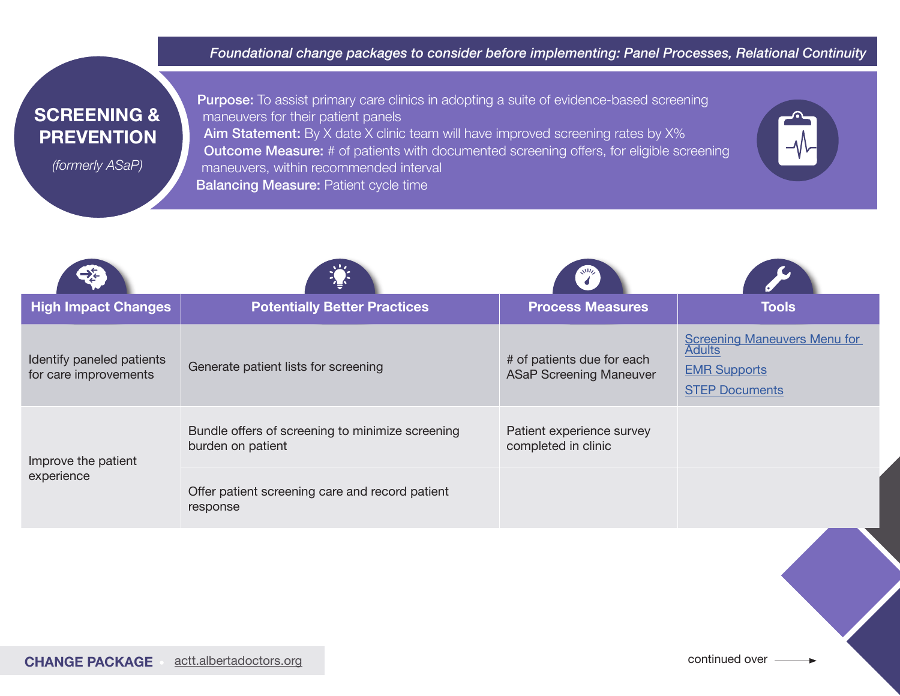## *Foundational change packages to consider before implementing: Panel Processes, Relational Continuity*

## **SCREENING & PREVENTION**

*(formerly ASaP)*

**Purpose:** To assist primary care clinics in adopting a suite of evidence-based screening maneuvers for their patient panels Aim Statement: By X date X clinic team will have improved screening rates by X% **Outcome Measure:** # of patients with documented screening offers, for eligible screening maneuvers, within recommended interval **Balancing Measure: Patient cycle time** 



| <b>High Impact Changes</b>                         | <b>Potentially Better Practices</b>                                   | <b>Process Measures</b>                                      | <b>Tools</b>                                                                                         |
|----------------------------------------------------|-----------------------------------------------------------------------|--------------------------------------------------------------|------------------------------------------------------------------------------------------------------|
| Identify paneled patients<br>for care improvements | Generate patient lists for screening                                  | # of patients due for each<br><b>ASaP Screening Maneuver</b> | <b>Screening Maneuvers Menu for</b><br><b>Adults</b><br><b>EMR Supports</b><br><b>STEP Documents</b> |
| Improve the patient<br>experience                  | Bundle offers of screening to minimize screening<br>burden on patient | Patient experience survey<br>completed in clinic             |                                                                                                      |
|                                                    | Offer patient screening care and record patient<br>response           |                                                              |                                                                                                      |

continued over